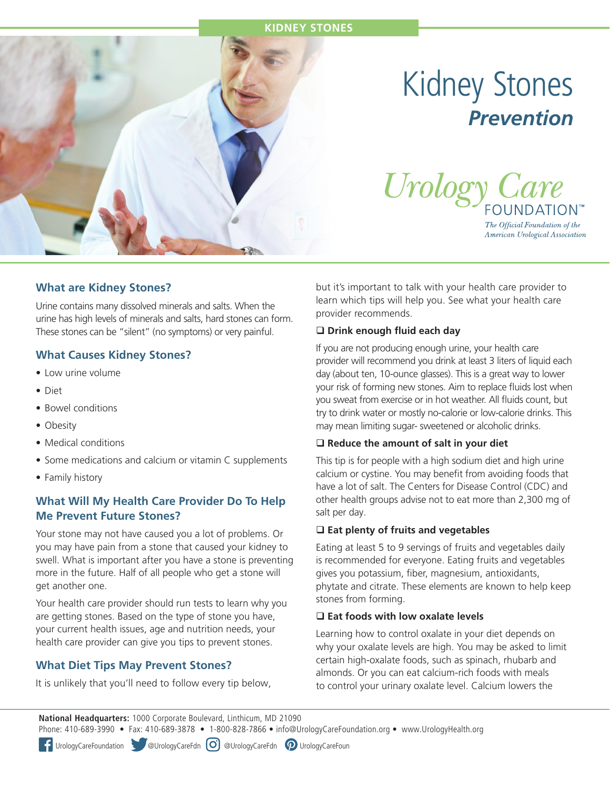

# Kidney Stones *Prevention*



The Official Foundation of the American Urological Association

## **What are Kidney Stones?**

Urine contains many dissolved minerals and salts. When the urine has high levels of minerals and salts, hard stones can form. These stones can be "silent" (no symptoms) or very painful.

### **What Causes Kidney Stones?**

- Low urine volume
- Diet
- Bowel conditions
- Obesity
- Medical conditions
- Some medications and calcium or vitamin C supplements
- Family history

## **What Will My Health Care Provider Do To Help Me Prevent Future Stones?**

Your stone may not have caused you a lot of problems. Or you may have pain from a stone that caused your kidney to swell. What is important after you have a stone is preventing more in the future. Half of all people who get a stone will get another one.

Your health care provider should run tests to learn why you are getting stones. Based on the type of stone you have, your current health issues, age and nutrition needs, your health care provider can give you tips to prevent stones.

## **What Diet Tips May Prevent Stones?**

It is unlikely that you'll need to follow every tip below,

but it's important to talk with your health care provider to learn which tips will help you. See what your health care provider recommends.

#### **Q** Drink enough fluid each day

If you are not producing enough urine, your health care provider will recommend you drink at least 3 liters of liquid each day (about ten, 10-ounce glasses). This is a great way to lower your risk of forming new stones. Aim to replace fluids lost when you sweat from exercise or in hot weather. All fluids count, but try to drink water or mostly no-calorie or low-calorie drinks. This may mean limiting sugar- sweetened or alcoholic drinks.

#### **Reduce the amount of salt in your diet**

This tip is for people with a high sodium diet and high urine calcium or cystine. You may benefit from avoiding foods that have a lot of salt. The Centers for Disease Control (CDC) and other health groups advise not to eat more than 2,300 mg of salt per day.

#### **Eat plenty of fruits and vegetables**

Eating at least 5 to 9 servings of fruits and vegetables daily is recommended for everyone. Eating fruits and vegetables gives you potassium, fiber, magnesium, antioxidants, phytate and citrate. These elements are known to help keep stones from forming.

#### **Eat foods with low oxalate levels**

Learning how to control oxalate in your diet depends on why your oxalate levels are high. You may be asked to limit certain high-oxalate foods, such as spinach, rhubarb and almonds. Or you can eat calcium-rich foods with meals to control your urinary oxalate level. Calcium lowers the